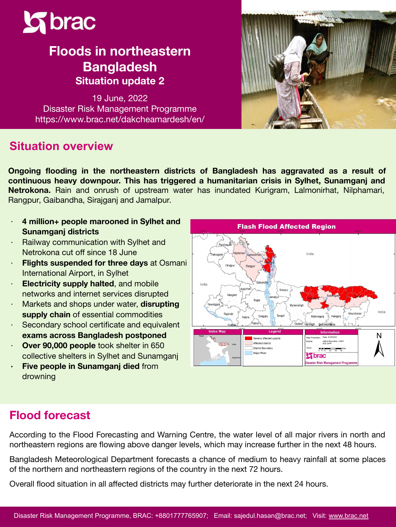

# **Floods in northeastern Bangladesh Situation update 2**

19 June, 2022 Disaster Risk Management Programme https://www.brac.net/dakcheamardesh/en/

### **Situation overview**

**Ongoing flooding in the northeastern districts of Bangladesh has aggravated as a result of continuous heavy downpour. This has triggered a humanitarian crisis in Sylhet, Sunamganj and Netrokona.** Rain and onrush of upstream water has inundated Kurigram, Lalmonirhat, Nilphamari, Rangpur, Gaibandha, Sirajganj and Jamalpur.

- ∙ **4 million+ people marooned in Sylhet and Sunamganj districts**
- ∙ Railway communication with Sylhet and Netrokona cut off since 18 June
- ∙ **Flights suspended for three days** at Osmani International Airport, in Sylhet
- ∙ **Electricity supply halted**, and mobile networks and internet services disrupted
- ∙ Markets and shops under water, **disrupting supply chain** of essential commodities
- ∙ Secondary school certificate and equivalent **exams across Bangladesh postponed**
- ∙ **Over 90,000 people** took shelter in 650 collective shelters in Sylhet and Sunamganj
- **∙ Five people in Sunamganj died** from drowning



# **Flood forecast**

According to the Flood Forecasting and Warning Centre, the water level of all major rivers in north and northeastern regions are flowing above danger levels, which may increase further in the next 48 hours.

Bangladesh Meteorological Department forecasts a chance of medium to heavy rainfall at some places of the northern and northeastern regions of the country in the next 72 hours.

Overall flood situation in all affected districts may further deteriorate in the next 24 hours.